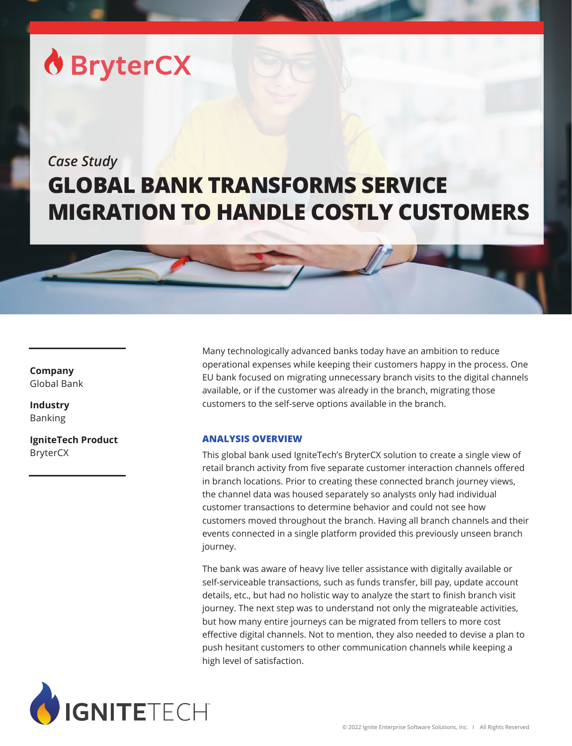# **O** BryterCX

## *Case Study* **GLOBAL BANK TRANSFORMS SERVICE MIGRATION TO HANDLE COSTLY CUSTOMERS**

### **Company** Global Bank

**Industry** Banking

**IgniteTech Product** BryterCX

Many technologically advanced banks today have an ambition to reduce operational expenses while keeping their customers happy in the process. One EU bank focused on migrating unnecessary branch visits to the digital channels available, or if the customer was already in the branch, migrating those customers to the self-serve options available in the branch.

#### **ANALYSIS OVERVIEW**

This global bank used IgniteTech's BryterCX solution to create a single view of retail branch activity from five separate customer interaction channels offered in branch locations. Prior to creating these connected branch journey views, the channel data was housed separately so analysts only had individual customer transactions to determine behavior and could not see how customers moved throughout the branch. Having all branch channels and their events connected in a single platform provided this previously unseen branch journey.

The bank was aware of heavy live teller assistance with digitally available or self-serviceable transactions, such as funds transfer, bill pay, update account details, etc., but had no holistic way to analyze the start to finish branch visit journey. The next step was to understand not only the migrateable activities, but how many entire journeys can be migrated from tellers to more cost effective digital channels. Not to mention, they also needed to devise a plan to push hesitant customers to other communication channels while keeping a high level of satisfaction.

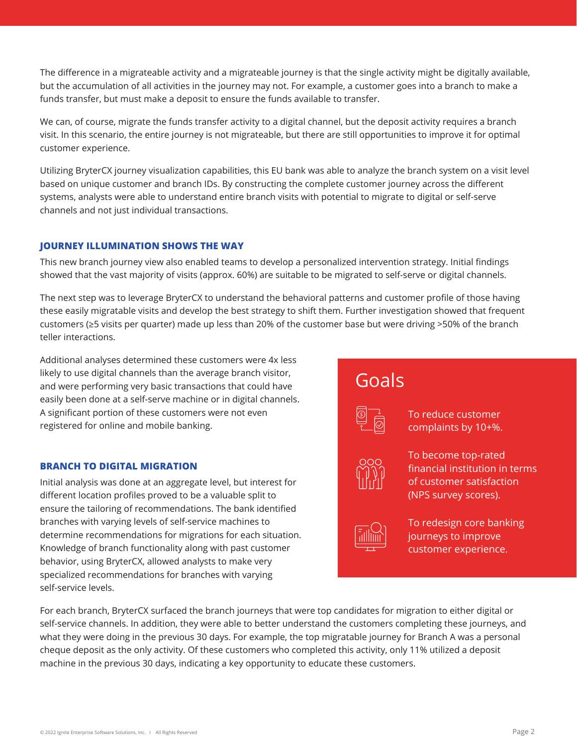The difference in a migrateable activity and a migrateable journey is that the single activity might be digitally available, but the accumulation of all activities in the journey may not. For example, a customer goes into a branch to make a funds transfer, but must make a deposit to ensure the funds available to transfer.

We can, of course, migrate the funds transfer activity to a digital channel, but the deposit activity requires a branch visit. In this scenario, the entire journey is not migrateable, but there are still opportunities to improve it for optimal customer experience.

Utilizing BryterCX journey visualization capabilities, this EU bank was able to analyze the branch system on a visit level based on unique customer and branch IDs. By constructing the complete customer journey across the different systems, analysts were able to understand entire branch visits with potential to migrate to digital or self-serve channels and not just individual transactions.

#### **JOURNEY ILLUMINATION SHOWS THE WAY**

This new branch journey view also enabled teams to develop a personalized intervention strategy. Initial findings showed that the vast majority of visits (approx. 60%) are suitable to be migrated to self-serve or digital channels.

The next step was to leverage BryterCX to understand the behavioral patterns and customer profile of those having these easily migratable visits and develop the best strategy to shift them. Further investigation showed that frequent customers (≥5 visits per quarter) made up less than 20% of the customer base but were driving >50% of the branch teller interactions.

Additional analyses determined these customers were 4x less likely to use digital channels than the average branch visitor, and were performing very basic transactions that could have easily been done at a self-serve machine or in digital channels. A significant portion of these customers were not even registered for online and mobile banking.

#### **BRANCH TO DIGITAL MIGRATION**

Initial analysis was done at an aggregate level, but interest for different location profiles proved to be a valuable split to ensure the tailoring of recommendations. The bank identified branches with varying levels of self-service machines to determine recommendations for migrations for each situation. Knowledge of branch functionality along with past customer behavior, using BryterCX, allowed analysts to make very specialized recommendations for branches with varying self-service levels.

Goals

complaints by 10+%.

To reduce customer



To become top-rated financial institution in terms of customer satisfaction (NPS survey scores).



To redesign core banking journeys to improve customer experience.

For each branch, BryterCX surfaced the branch journeys that were top candidates for migration to either digital or self-service channels. In addition, they were able to better understand the customers completing these journeys, and what they were doing in the previous 30 days. For example, the top migratable journey for Branch A was a personal cheque deposit as the only activity. Of these customers who completed this activity, only 11% utilized a deposit machine in the previous 30 days, indicating a key opportunity to educate these customers.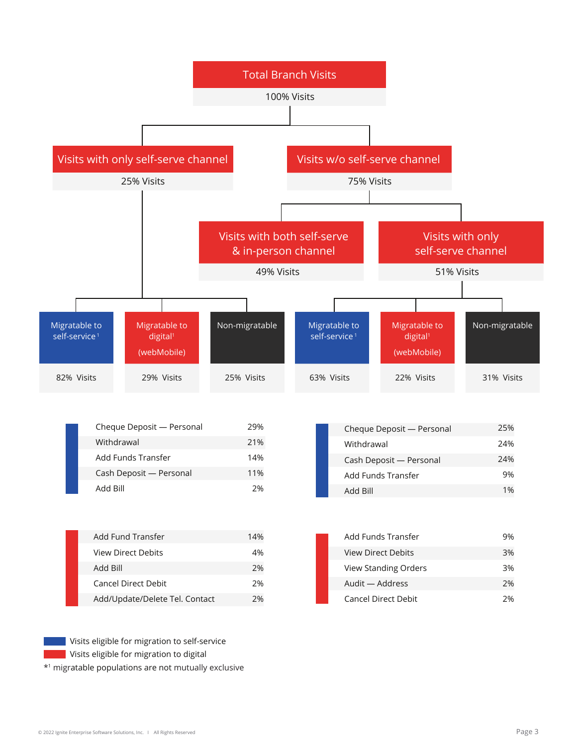